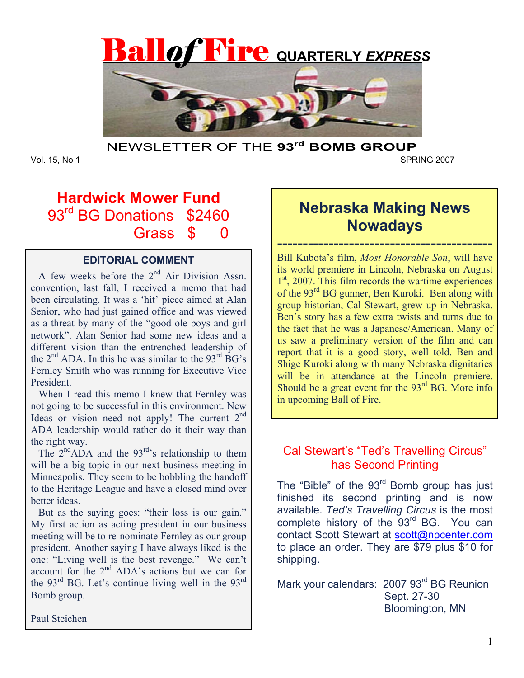

NEWSLETTER OF THE **93rd BOMB GROUP** 

Vol. 15, No 1 SPRING 2007

# **Hardwick Mower Fund**  93<sup>rd</sup> BG Donations \$2460 Grass \$ 0

# **EDITORIAL COMMENT**

A few weeks before the  $2^{nd}$  Air Division Assn. convention, last fall, I received a memo that had been circulating. It was a 'hit' piece aimed at Alan Senior, who had just gained office and was viewed as a threat by many of the "good ole boys and girl network". Alan Senior had some new ideas and a different vision than the entrenched leadership of the  $2<sup>nd</sup>$  ADA. In this he was similar to the  $93<sup>rd</sup>$  BG's Fernley Smith who was running for Executive Vice President.

 When I read this memo I knew that Fernley was not going to be successful in this environment. New Ideas or vision need not apply! The current  $2<sup>nd</sup>$ ADA leadership would rather do it their way than the right way.

The  $2<sup>nd</sup>ADA$  and the  $93<sup>rd</sup>$ 's relationship to them will be a big topic in our next business meeting in Minneapolis. They seem to be bobbling the handoff to the Heritage League and have a closed mind over better ideas.

 But as the saying goes: "their loss is our gain." My first action as acting president in our business meeting will be to re-nominate Fernley as our group president. Another saying I have always liked is the one: "Living well is the best revenge." We can't account for the  $2<sup>nd</sup>$  ADA's actions but we can for the  $93^{\text{rd}}$  BG. Let's continue living well in the  $93^{\text{rd}}$ Bomb group.

# **Nebraska Making News Nowadays**

------------------------------------------ Bill Kubota's film, *Most Honorable Son*, will have its world premiere in Lincoln, Nebraska on August  $1<sup>st</sup>$ , 2007. This film records the wartime experiences of the 93rd BG gunner, Ben Kuroki. Ben along with group historian, Cal Stewart, grew up in Nebraska. Ben's story has a few extra twists and turns due to the fact that he was a Japanese/American. Many of us saw a preliminary version of the film and can report that it is a good story, well told. Ben and Shige Kuroki along with many Nebraska dignitaries will be in attendance at the Lincoln premiere. Should be a great event for the  $93<sup>rd</sup>$  BG. More info in upcoming Ball of Fire.

# Cal Stewart's "Ted's Travelling Circus" has Second Printing

The "Bible" of the  $93<sup>rd</sup>$  Bomb group has just finished its second printing and is now available. *Ted's Travelling Circus* is the most complete history of the 93<sup>rd</sup> BG. You can contact Scott Stewart at scott@npcenter.com to place an order. They are \$79 plus \$10 for shipping.

Mark your calendars: 2007 93<sup>rd</sup> BG Reunion Sept. 27-30 Bloomington, MN

Paul Steichen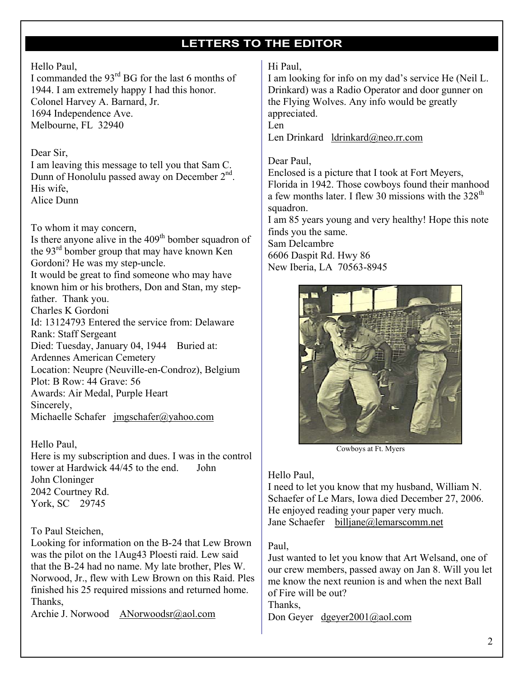# **LETTERS TO THE EDITOR**

### Hello Paul,

I commanded the  $93<sup>rd</sup>$  BG for the last 6 months of 1944. I am extremely happy I had this honor. Colonel Harvey A. Barnard, Jr. 1694 Independence Ave. Melbourne, FL 32940

#### Dear Sir,

I am leaving this message to tell you that Sam C. Dunn of Honolulu passed away on December 2<sup>nd</sup>. His wife, Alice Dunn

To whom it may concern,

Is there anyone alive in the  $409<sup>th</sup>$  bomber squadron of the 93rd bomber group that may have known Ken Gordoni? He was my step-uncle. It would be great to find someone who may have known him or his brothers, Don and Stan, my stepfather. Thank you. Charles K Gordoni Id: 13124793 Entered the service from: Delaware Rank: Staff Sergeant Died: Tuesday, January 04, 1944 Buried at: Ardennes American Cemetery Location: Neupre (Neuville-en-Condroz), Belgium Plot: B Row: 44 Grave: 56 Awards: Air Medal, Purple Heart Sincerely, Michaelle Schafer jmgschafer@yahoo.com

Hello Paul,

Here is my subscription and dues. I was in the control tower at Hardwick 44/45 to the end. John John Cloninger 2042 Courtney Rd. York, SC 29745

### To Paul Steichen,

Looking for information on the B-24 that Lew Brown was the pilot on the 1Aug43 Ploesti raid. Lew said that the B-24 had no name. My late brother, Ples W. Norwood, Jr., flew with Lew Brown on this Raid. Ples finished his 25 required missions and returned home. Thanks,

Archie J. Norwood ANorwoodsr@aol.com

#### Hi Paul,

I am looking for info on my dad's service He (Neil L. Drinkard) was a Radio Operator and door gunner on the Flying Wolves. Any info would be greatly appreciated.

Len

Len Drinkard ldrinkard@neo.rr.com

#### Dear Paul,

Enclosed is a picture that I took at Fort Meyers, Florida in 1942. Those cowboys found their manhood a few months later. I flew 30 missions with the  $328<sup>th</sup>$ squadron.

I am 85 years young and very healthy! Hope this note finds you the same.

Sam Delcambre 6606 Daspit Rd. Hwy 86 New Iberia, LA 70563-8945



Cowboys at Ft. Myers

#### Hello Paul,

I need to let you know that my husband, William N. Schaefer of Le Mars, Iowa died December 27, 2006. He enjoyed reading your paper very much. Jane Schaefer billjane@lemarscomm.net

### Paul,

Just wanted to let you know that Art Welsand, one of our crew members, passed away on Jan 8. Will you let me know the next reunion is and when the next Ball of Fire will be out? Thanks, Don Geyer dgeyer2001@aol.com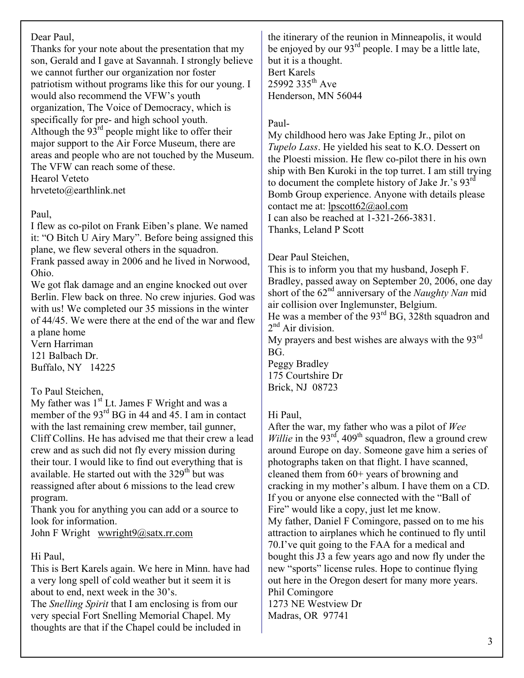## Dear Paul,

Thanks for your note about the presentation that my son, Gerald and I gave at Savannah. I strongly believe we cannot further our organization nor foster patriotism without programs like this for our young. I would also recommend the VFW's youth organization, The Voice of Democracy, which is specifically for pre- and high school youth. Although the  $93<sup>rd</sup>$  people might like to offer their major support to the Air Force Museum, there are areas and people who are not touched by the Museum. The VFW can reach some of these. Hearol Veteto hrveteto@earthlink.net

## Paul,

I flew as co-pilot on Frank Eiben's plane. We named it: "O Bitch U Airy Mary". Before being assigned this plane, we flew several others in the squadron. Frank passed away in 2006 and he lived in Norwood, Ohio.

We got flak damage and an engine knocked out over Berlin. Flew back on three. No crew injuries. God was with us! We completed our 35 missions in the winter of 44/45. We were there at the end of the war and flew a plane home

Vern Harriman 121 Balbach Dr. Buffalo, NY 14225

# To Paul Steichen,

My father was  $1<sup>st</sup>$  Lt. James F Wright and was a member of the 93<sup>rd</sup> BG in 44 and 45. I am in contact with the last remaining crew member, tail gunner, Cliff Collins. He has advised me that their crew a lead crew and as such did not fly every mission during their tour. I would like to find out everything that is available. He started out with the  $329<sup>th</sup>$  but was reassigned after about 6 missions to the lead crew program.

Thank you for anything you can add or a source to look for information.

John F Wright wwright9@satx.rr.com

# Hi Paul,

This is Bert Karels again. We here in Minn. have had a very long spell of cold weather but it seem it is about to end, next week in the 30's.

The *Snelling Spirit* that I am enclosing is from our very special Fort Snelling Memorial Chapel. My thoughts are that if the Chapel could be included in

the itinerary of the reunion in Minneapolis, it would be enjoyed by our 93<sup>rd</sup> people. I may be a little late, but it is a thought. Bert Karels 25992 335<sup>th</sup> Ave Henderson, MN 56044

## Paul-

My childhood hero was Jake Epting Jr., pilot on *Tupelo Lass*. He yielded his seat to K.O. Dessert on the Ploesti mission. He flew co-pilot there in his own ship with Ben Kuroki in the top turret. I am still trying to document the complete history of Jake Jr.'s 93rd Bomb Group experience. Anyone with details please contact me at: lpscott62@aol.com I can also be reached at 1-321-266-3831. Thanks, Leland P Scott

## Dear Paul Steichen,

This is to inform you that my husband, Joseph F. Bradley, passed away on September 20, 2006, one day short of the 62nd anniversary of the *Naughty Nan* mid air collision over Inglemunster, Belgium.

He was a member of the 93<sup>rd</sup> BG, 328th squadron and  $2<sup>nd</sup>$  Air division.

My prayers and best wishes are always with the  $93<sup>rd</sup>$ BG.

Peggy Bradley 175 Courtshire Dr Brick, NJ 08723

Madras, OR 97741

# Hi Paul,

After the war, my father who was a pilot of *Wee Willie* in the  $93<sup>rd</sup>$ , 409<sup>th</sup> squadron, flew a ground crew around Europe on day. Someone gave him a series of photographs taken on that flight. I have scanned, cleaned them from 60+ years of browning and cracking in my mother's album. I have them on a CD. If you or anyone else connected with the "Ball of Fire" would like a copy, just let me know. My father, Daniel F Comingore, passed on to me his attraction to airplanes which he continued to fly until 70.I've quit going to the FAA for a medical and bought this J3 a few years ago and now fly under the new "sports" license rules. Hope to continue flying out here in the Oregon desert for many more years. Phil Comingore 1273 NE Westview Dr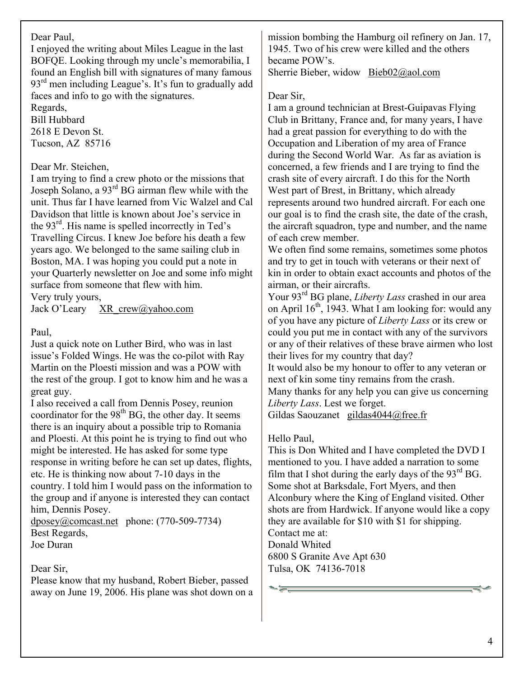### Dear Paul,

I enjoyed the writing about Miles League in the last BOFQE. Looking through my uncle's memorabilia, I found an English bill with signatures of many famous  $93<sup>rd</sup>$  men including League's. It's fun to gradually add faces and info to go with the signatures.

Regards, Bill Hubbard 2618 E Devon St. Tucson, AZ 85716

### Dear Mr. Steichen,

I am trying to find a crew photo or the missions that Joseph Solano, a 93rd BG airman flew while with the unit. Thus far I have learned from Vic Walzel and Cal Davidson that little is known about Joe's service in the 93rd. His name is spelled incorrectly in Ted's Travelling Circus. I knew Joe before his death a few years ago. We belonged to the same sailing club in Boston, MA. I was hoping you could put a note in your Quarterly newsletter on Joe and some info might surface from someone that flew with him. Very truly yours,

Jack O'Leary XR\_crew@yahoo.com

### Paul,

Just a quick note on Luther Bird, who was in last issue's Folded Wings. He was the co-pilot with Ray Martin on the Ploesti mission and was a POW with the rest of the group. I got to know him and he was a great guy.

I also received a call from Dennis Posey, reunion coordinator for the  $98<sup>th</sup> BG$ , the other day. It seems there is an inquiry about a possible trip to Romania and Ploesti. At this point he is trying to find out who might be interested. He has asked for some type response in writing before he can set up dates, flights, etc. He is thinking now about 7-10 days in the country. I told him I would pass on the information to the group and if anyone is interested they can contact him, Dennis Posey.

dposey@comcast.net phone: (770-509-7734) Best Regards, Joe Duran

### Dear Sir,

Please know that my husband, Robert Bieber, passed away on June 19, 2006. His plane was shot down on a mission bombing the Hamburg oil refinery on Jan. 17, 1945. Two of his crew were killed and the others became POW's.

Sherrie Bieber, widow Bieb02@aol.com

#### Dear Sir,

I am a ground technician at Brest-Guipavas Flying Club in Brittany, France and, for many years, I have had a great passion for everything to do with the Occupation and Liberation of my area of France during the Second World War. As far as aviation is concerned, a few friends and I are trying to find the crash site of every aircraft. I do this for the North West part of Brest, in Brittany, which already represents around two hundred aircraft. For each one our goal is to find the crash site, the date of the crash, the aircraft squadron, type and number, and the name of each crew member.

We often find some remains, sometimes some photos and try to get in touch with veterans or their next of kin in order to obtain exact accounts and photos of the airman, or their aircrafts.

Your 93rd BG plane, *Liberty Lass* crashed in our area on April  $16<sup>th</sup>$ , 1943. What I am looking for: would any of you have any picture of *Liberty Lass* or its crew or could you put me in contact with any of the survivors or any of their relatives of these brave airmen who lost their lives for my country that day?

It would also be my honour to offer to any veteran or next of kin some tiny remains from the crash.

Many thanks for any help you can give us concerning *Liberty Lass*. Lest we forget.

Gildas Saouzanet gildas4044@free.fr

### Hello Paul,

This is Don Whited and I have completed the DVD I mentioned to you. I have added a narration to some film that I shot during the early days of the  $93<sup>rd</sup> BG$ . Some shot at Barksdale, Fort Myers, and then Alconbury where the King of England visited. Other shots are from Hardwick. If anyone would like a copy they are available for \$10 with \$1 for shipping. Contact me at: Donald Whited 6800 S Granite Ave Apt 630 Tulsa, OK 74136-7018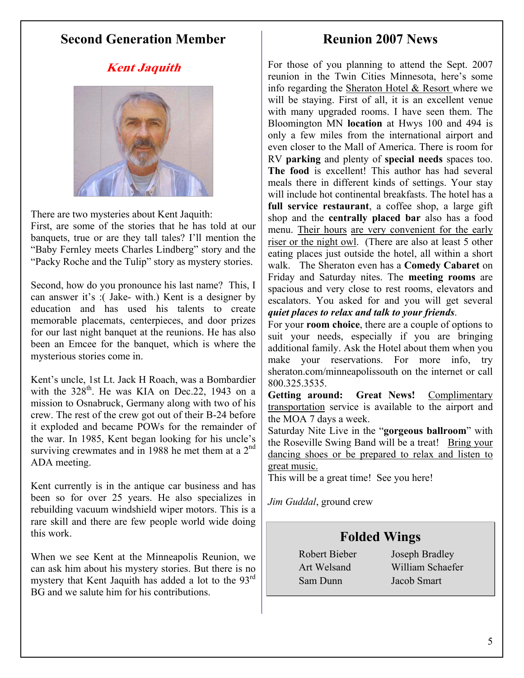# **Second Generation Member**

# **Reunion 2007 News**

# **Kent Jaquith**



There are two mysteries about Kent Jaquith: First, are some of the stories that he has told at our banquets, true or are they tall tales? I'll mention the "Baby Fernley meets Charles Lindberg" story and the "Packy Roche and the Tulip" story as mystery stories.

Second, how do you pronounce his last name? This, I can answer it's :( Jake- with.) Kent is a designer by education and has used his talents to create memorable placemats, centerpieces, and door prizes for our last night banquet at the reunions. He has also been an Emcee for the banquet, which is where the mysterious stories come in.

Kent's uncle, 1st Lt. Jack H Roach, was a Bombardier with the  $328<sup>th</sup>$ . He was KIA on Dec. 22, 1943 on a mission to Osnabruck, Germany along with two of his crew. The rest of the crew got out of their B-24 before it exploded and became POWs for the remainder of the war. In 1985, Kent began looking for his uncle's surviving crewmates and in 1988 he met them at a  $2<sup>nd</sup>$ ADA meeting.

Kent currently is in the antique car business and has been so for over 25 years. He also specializes in rebuilding vacuum windshield wiper motors. This is a rare skill and there are few people world wide doing this work.

When we see Kent at the Minneapolis Reunion, we can ask him about his mystery stories. But there is no mystery that Kent Jaquith has added a lot to the 93<sup>rd</sup> BG and we salute him for his contributions.

For those of you planning to attend the Sept. 2007 reunion in the Twin Cities Minnesota, here's some info regarding the Sheraton Hotel & Resort where we will be staying. First of all, it is an excellent venue with many upgraded rooms. I have seen them. The Bloomington MN **location** at Hwys 100 and 494 is only a few miles from the international airport and even closer to the Mall of America. There is room for RV **parking** and plenty of **special needs** spaces too. **The food** is excellent! This author has had several meals there in different kinds of settings. Your stay will include hot continental breakfasts. The hotel has a **full service restaurant**, a coffee shop, a large gift shop and the **centrally placed bar** also has a food menu. Their hours are very convenient for the early riser or the night owl. (There are also at least 5 other eating places just outside the hotel, all within a short walk. The Sheraton even has a **Comedy Cabaret** on Friday and Saturday nites. The **meeting rooms** are spacious and very close to rest rooms, elevators and escalators. You asked for and you will get several *quiet places to relax and talk to your friends*.

For your **room choice**, there are a couple of options to suit your needs, especially if you are bringing additional family. Ask the Hotel about them when you make your reservations. For more info, try sheraton.com/minneapolissouth on the internet or call 800.325.3535.

Getting around: Great News! Complimentary transportation service is available to the airport and the MOA 7 days a week.

Saturday Nite Live in the "**gorgeous ballroom**" with the Roseville Swing Band will be a treat! Bring your dancing shoes or be prepared to relax and listen to great music.

This will be a great time! See you here!

*Jim Guddal*, ground crew

# **Folded Wings**

Sam Dunn Jacob Smart

 Robert Bieber Joseph Bradley Art Welsand William Schaefer